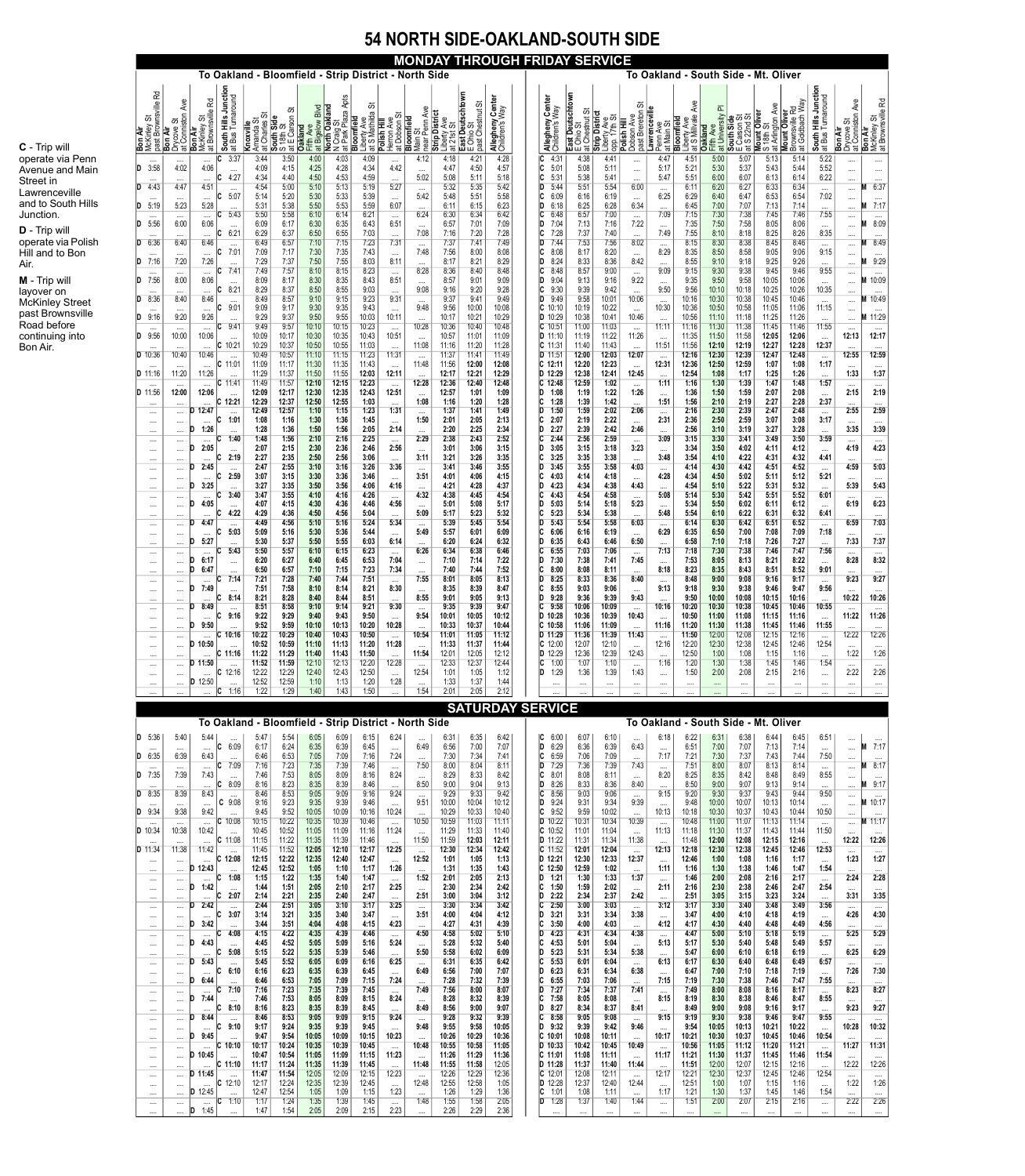# **54 NORTH SIDE-OAKLAND-SOUTH SIDE**

# **MONDAY THROUGH FRIDAY SERVICE**

|                                                  |                                                |                                                                                        |                                           |                                                                                                    | To Oakland - Bloomfield - Strip District - North Side |                         |                                                                                                   |                                                                         |                                                               |                              |                                                    |                                                     |                                    | To Oakland - South Side - Mt. Oliver |                                                 |                                                                         |                                                 |                                       |                                                   |                                                     |                                           |                                               |                                                         |                                           |                                                  |                                                    |
|--------------------------------------------------|------------------------------------------------|----------------------------------------------------------------------------------------|-------------------------------------------|----------------------------------------------------------------------------------------------------|-------------------------------------------------------|-------------------------|---------------------------------------------------------------------------------------------------|-------------------------------------------------------------------------|---------------------------------------------------------------|------------------------------|----------------------------------------------------|-----------------------------------------------------|------------------------------------|--------------------------------------|-------------------------------------------------|-------------------------------------------------------------------------|-------------------------------------------------|---------------------------------------|---------------------------------------------------|-----------------------------------------------------|-------------------------------------------|-----------------------------------------------|---------------------------------------------------------|-------------------------------------------|--------------------------------------------------|----------------------------------------------------|
| R<br>past Brownsville<br>ळ<br>$\delta$<br>McKinl | Ave<br>at Conniston<br>ळ<br>Drycove<br>Bon Air | <b>Rd</b><br>$\omega$<br>McKinley St<br>at Brownsville<br>:Kinley St<br><b>Bon Air</b> | South Hills Junction<br>at Bus Turnaround | Ö<br><b>Manda Strates</b><br>Amanda Strates Side<br>South Side<br>S 18th St<br>at F C<br>Knoxville | ळ<br>S 18th St<br>at E Carson S                       | Fifth Ave<br>Oakland    | Apts<br>at Bigelow Blvd<br>North Oakland<br><b>North Oakland</b><br>N Craig St<br>at Park Plaza / | ळ<br>Liberty Ave<br>at S Mathilda (<br>Polish Hill<br><b>Bloomfield</b> | ö<br>Herron Ave<br>at Dobson S<br><b>Bloomfield</b>           | Ave<br>near Penn<br>Main     | Strip Distric<br><b>g</b><br>ö<br>at 21st<br>Liber | East Deutschtown<br>E Ohio St<br>ळ<br>past Chestnut | Allegheny Center<br>Children's Way | Allegheny Center<br>Children's Way   | East Deutschtown<br>E Ohio St<br>at Chestnut St | <b>Strip District</b><br>ळ<br>Ave<br>FT <sub>1</sub><br>Liberty<br>opp. | ぁ<br>past Brereton<br>Dobson Ave<br>Polish Hill | Lawrencevill<br>at Main S<br>Penn Ave | Ave<br>Liberty Ave<br>at S Millvale<br>Bloomfield | ᇎ<br><b>Oakland</b><br>Fifth Ave<br>at University F | South Side<br>E Carson St<br>at S 22nd St | Mount Oliver<br>S 18th St<br>at Arlington Ave | Brownsville Rd<br>at Goldbach Way<br><b>Mount Olive</b> | South Hills Junction<br>at Bus Turnaround | Drycove St<br>at Conniston Ave<br><b>Bon Air</b> | <b>Bon Air</b><br>McKinley St<br>at Brownsville Rd |
| $\cdots$<br>3:58                                 | $\cdots$<br>4:02                               | $\cdots$<br>4:06                                                                       | 3:37<br>$\cdots$                          | 3:44<br>4:09                                                                                       | 3:50<br>4:15                                          | 4:00<br>4:25            | 4:03<br>4:28                                                                                      | 4:09<br>4:34                                                            | $\cdots$<br>4:42                                              | 4:12<br>$\cdots$             | 4:18<br>4:47                                       | 4:21<br>4:50                                        | 4:28<br>4:57                       | 4:31<br>C<br>5:01                    | 4:38<br>5:08                                    | 4:41<br>5:11                                                            | $\cdots$<br>$\cdots$                            | 4:47<br>5:17                          | 4:51<br>5:21                                      | 5:00<br>5:30                                        | 5:07<br>5:37                              | 5:13<br>5:43                                  | 5:14<br>5:44                                            | 5:22<br>5:52                              | <br>                                             | <br>$\cdots$                                       |
| 4:43                                             | $\cdots$<br>4:47<br>$\cdots$                   | $\cdots$<br>4:51<br>$\cdots$                                                           | 4:27<br>$\cdots$<br>5:07                  | 4:34<br>4:54<br>5:14                                                                               | 4:40<br>5:00<br>5:20                                  | 4:50<br>5:10<br>5:30    | 4:53<br>5:13<br>5:33                                                                              | 4:59<br>5:19<br>5:39                                                    | $\cdots$<br>5:27<br>$\cdots$                                  | 5:02<br>$\cdots$<br>5:42     | 5:08<br>5:32<br>5:48                               | 5:11<br>5:35<br>5:51                                | 5:18<br>5:42<br>5:58               | C<br>5:31<br>5:44<br>6:09            | 5:38<br>5:51<br>6:16                            | 5:41<br>5:54<br>6:19                                                    | $\cdots$<br>6:00<br>$\cdots$                    | 5:47<br>$\cdots$<br>6:25              | 5:51<br>6:11<br>6:29                              | 6:00<br>6:20<br>6:40                                | 6:07<br>6:27<br>6:47                      | 6:13<br>6:33<br>6:53                          | 6:14<br>6:34<br>6:54                                    | 6:22<br>$\cdots$<br>7:02                  | $\cdots$<br>$\cdots$<br>$\cdots$                 | $\cdots$<br>6:37<br>$\cdots$                       |
| 5:19<br>$\cdots$                                 | 5:23<br>$\cdots$                               | 5:28<br>$\cdots$                                                                       | $\cdots$<br>5:43                          | 5:31<br>5:50                                                                                       | 5:38<br>5:58                                          | 5:50<br>6:10            | 5:53<br>6:14                                                                                      | 5:59<br>6:21                                                            | 6:07<br>$\cdots$                                              | $\cdots$<br>6:24             | 6:11<br>6:30                                       | 6:15<br>6:34                                        | 6:23<br>6:42                       | D<br>6:18<br>6:48                    | 6:25<br>6:57                                    | 6:28<br>7:00                                                            | 6:34<br>$\cdots$                                | $\cdots$<br>7:09                      | 6:45<br>7:15                                      | 7:00<br>7:30                                        | 7:07<br>7:38                              | 7:13<br>7:45                                  | 7:14<br>7:46                                            | $\cdots$<br>7:55                          | $\cdots$<br>                                     | 7:17<br>$\cdots$                                   |
| 5:56<br>6:36                                     | 6:00<br>$\cdots$<br>6:40                       | 6:06<br>$\cdots$<br>6:46                                                               | $\cdots$<br>6:21<br>$\cdots$              | 6:09<br>6:29<br>6:49                                                                               | 6:17<br>6:37<br>6:57                                  | 6:30<br>6:50<br>7:10    | 6:35<br>6:55<br>7:15                                                                              | 6:43<br>7:03<br>7:23                                                    | 6:51<br>$\cdots$<br>7:31                                      | $\cdots$<br>7:08<br>$\cdots$ | 6:57<br>7:16<br>7:37                               | 7:01<br>7:20<br>7:41                                | 7:09<br>7:28<br>7:49               | 7:04<br>D<br>C<br>7:28<br>7:44       | 7:13<br>7:37<br>7:53                            | 7:16<br>7:40<br>7:56                                                    | 7:22<br>$\cdots$<br>8:02                        | $\cdots$<br>7:49<br>$\cdots$          | 7:35<br>7:55<br>8:15                              | 7:50<br>8:10<br>8:30                                | 7:58<br>8:18<br>8:38                      | 8:05<br>8:25<br>8:45                          | 8:06<br>8:26<br>8:46                                    | $\cdots$<br>8:35<br>$\cdots$              | <br>$\cdots$<br>                                 | 8:09<br>$\cdots$<br>8:49                           |
| 7:16                                             | $\cdots$<br>7:20                               | $\cdots$<br>7:26                                                                       | $7:0^{\circ}$<br>$\cdots$                 | 7:09<br>7:29                                                                                       | 7:17<br>7:37                                          | 7:30<br>7:50            | 7:35<br>7:55                                                                                      | 7:43<br>8:03                                                            | $\cdots$<br>8:11                                              | 7:48<br>$\cdots$             | 7:56<br>8:17                                       | 8:00<br>8:21                                        | 8:08<br>8:29                       | C<br>8:08<br>8:24<br>D               | 8:17<br>8:33                                    | 8:20<br>8:36                                                            | <br>8:42                                        | 8:29<br>$\cdots$                      | 8:35<br>8:55                                      | 8:50<br>9:10                                        | 8:58<br>9:18                              | 9:05<br>9:25                                  | 9:06<br>9:26                                            | 9:15<br>$\cdots$                          | <br>                                             | $\cdots$<br>9:29                                   |
| $\cdots$<br>7:56                                 | $\cdots$<br>8:00                               | $\cdots$<br>8:06                                                                       | 7:4'<br>$\cdots$<br>8:21                  | 7:49<br>8:09<br>8:29                                                                               | 7:57<br>8:17<br>8:37                                  | 8:10<br>8:30<br>8:50    | 8:15<br>8:35<br>8:55                                                                              | 8:23<br>8:43<br>9:03                                                    | $\cdots$<br>8:51<br>$\cdots$                                  | 8:28<br>$\cdots$<br>9:08     | 8:36<br>8:57<br>9:16                               | 8:40<br>9:01<br>9:20                                | 8:48<br>9:09<br>9:28               | 8:48<br>D<br>9:04<br>C<br>9:30       | 8:57<br>9:13<br>9:39                            | 9:00<br>9:16<br>9:42                                                    | $\cdots$<br>9:22<br>$\cdots$                    | 9:09<br>$\cdots$<br>9:50              | 9:15<br>9:35<br>9:56                              | 9:30<br>9:50<br>10:10                               | 9:38<br>9:58<br>10:18                     | 9:45<br>10:05<br>10:25                        | 9:46<br>10:06<br>10:26                                  | 9:55<br>$\cdots$<br>10:35                 | <br>                                             | $\cdots$<br>10:09                                  |
| 8:36                                             | $\cdots$<br>8:40<br>$\cdots$                   | $\cdots$<br>8:46<br>$\cdots$                                                           | $\cdots$<br>$9:0^{\circ}$                 | 8:49<br>9:09                                                                                       | 8:57<br>9:17                                          | 9:10<br>9:30            | 9:15<br>9:35                                                                                      | 9:23<br>9:43                                                            | 9:31<br>$\cdots$                                              | $\cdots$<br>9:48             | 9:37<br>9:56                                       | 9:41<br>10:00                                       | 9:49<br>10:08                      | D<br>9:49<br>$C$ 10:10               | 9:58<br>10:19                                   | 10:01<br>10:22                                                          | 10:06<br>$\cdots$                               | $\cdots$<br>10:30                     | 10:16<br>10:36                                    | 10:30<br>10:50                                      | 10:38<br>10:58                            | 10:45<br>11:05                                | 10:46<br>11:06                                          | $\cdots$<br>11:15                         | $\cdots$<br><br>$\cdots$                         | $\cdots$<br>10:49<br>$\cdots$                      |
| 9:16<br><br>9:56                                 | 9:20<br>$\cdots$<br>10:00                      | 9:26<br>$\cdots$<br>10:06                                                              | $\cdots$<br>9:4'                          | 9:29<br>9:49<br>10:09                                                                              | 9:37<br>9:57<br>10:17                                 | 9:50<br>10:10<br>10:30  | 9:55<br>10:15<br>10:35                                                                            | 10:03<br>10:23<br>10:43                                                 | 10:11<br>$\cdots$<br>10:51                                    | $\cdots$<br>10:28            | 10:17<br>10:36<br>10:57                            | 10:21<br>10:40<br>11:01                             | 10:29<br>10:48<br>11:09            | D 10:29<br>$C$ 10:5<br>D 11:10       | 10:38<br>11:00<br>11:19                         | 10:41<br>11:03<br>11:22                                                 | 10:46<br>$\cdots$<br>11:26                      | $\cdots$<br>11:11                     | 10:56<br>11:16<br>11:35                           | 11:10<br>11:30<br>11:50                             | 11:18<br>11:38<br>11:58                   | 11:25<br>11:45<br>12:05                       | 11:26<br>11:46<br>12:06                                 | $\cdots$<br>11:55                         | $\cdots$<br>$\cdots$<br>12:13                    | 11:29<br>$\cdots$<br>12:17                         |
| $D$ 10:36                                        | $\cdots$<br>10:40                              | $\cdots$<br>10:46                                                                      | $\cdots$<br>10:2'<br>$\cdots$             | 10:29<br>10:49                                                                                     | 10:37<br>10:57                                        | 10:50<br>11:10          | 10:55<br>11:15                                                                                    | 11:03<br>11:23                                                          | $\cdots$<br>11:31                                             | 11:08                        | 11:16<br>11:37                                     | 11:20<br>11:41                                      | 11:28<br>11:49                     | C 11:31<br>$D$ 11:51                 | 11:40<br>12:00                                  | 11:43<br>12:03                                                          | $\cdots$<br>12:07                               | $\cdots$<br>11:51<br>$\cdots$         | 11:56<br>12:16                                    | 12:10<br>12:30                                      | 12:19<br>12:39                            | 12:27<br>12:47                                | 12:28<br>12:48                                          | $\cdots$<br>12:37<br>$\cdots$             | $\cdots$<br>12:55                                | $\cdots$<br>12:59                                  |
| $D$ 11:16                                        | $\cdots$<br>11:20                              | $\cdots$<br>11:26                                                                      | $11:0^{\circ}$<br>                        | 11:09<br>11:29                                                                                     | 11:17<br>11:37                                        | 11:30<br>11:50          | 11:35<br>11:55                                                                                    | 11:43<br>12:03                                                          | $\cdots$<br>12:11                                             | 11:48                        | 11:56<br>12:17                                     | 12:00<br>12:21                                      | 12:08<br>12:29                     | C 12:11<br>D 12:29                   | 12:20<br>12:38                                  | 12:23<br>12:41                                                          | 12:45                                           | 12:31<br>$\cdots$                     | 12:36<br>12:54                                    | 12:50<br>1:08                                       | 12:59<br>1:17                             | 1:07<br>1:25                                  | 1:08<br>1:26                                            | 1:17<br>$\cdots$                          | 1:33                                             | $\cdots$<br>1:37                                   |
| 11:56<br>$\cdots$                                | $\cdots$<br>12:00<br>$\cdots$                  | 12:06<br>$\cdots$                                                                      | 11:4'<br>$\cdots$<br>12:21                | 11:49<br>12:09<br>12:29                                                                            | 11:57<br>12:17<br>12:37                               | 12:10<br>12:30<br>12:50 | 12:15<br>12:35<br>12:55                                                                           | 12:23<br>12:43<br>1:03                                                  | $\cdots$<br>12:51<br>$\cdots$                                 | 12:28<br>$\cdots$<br>1:08    | 12:36<br>12:57<br>1:16                             | 12:40<br>1:01<br>1:20                               | 12:48<br>1:09<br>1:28              | 12:48<br>1:08<br>ID<br>C<br>1:28     | 12:59<br>1:19<br>1:39                           | 1:02<br>1:22<br>1:42                                                    | $\cdots$<br>1:26<br>$\cdots$                    | 1:11<br>$\cdots$<br>1:51              | 1:16<br>1:36<br>1:56                              | 1:30<br>1:50<br>2:10                                | 1:39<br>1:59<br>2:19                      | 1:47<br>2:07<br>2:27                          | 1:48<br>2:08<br>2:28                                    | 1:57<br>$\cdots$<br>2:37                  | <br>2:15<br>$\cdots$                             | $\cdots$<br>2:19<br>$\cdots$                       |
| $\cdots$<br>$\cdots$                             | $\cdots$<br>$\cdots$                           | 12:47<br>$\cdots$                                                                      | $\cdots$<br>1:01                          | 12:49<br>1:08                                                                                      | 12:57<br>1:16                                         | 1:10<br>1:30            | 1:15<br>1:36                                                                                      | 1:23<br>1:45                                                            | 1:31<br>$\cdots$                                              | $\cdots$<br>1:50             | 1:37<br>2:01                                       | 1:41<br>2:05                                        | 1:49<br>2:13                       | 1:50<br>2:07                         | 1:59<br>2:19                                    | 2:02<br>2:22                                                            | 2:06<br>$\cdots$                                | $\cdots$<br>2:31                      | 2:16<br>2:36                                      | 2:30<br>2:50                                        | 2:39<br>2:59                              | 2:47<br>3:07                                  | 2:48<br>3:08                                            | $\cdots$<br>3:17                          | 2:55<br>$\cdots$                                 | 2:59<br>$\cdots$                                   |
| $\cdots$<br>$\cdots$                             | $\cdots$<br>$\cdots$                           | 1:26<br>$\cdots$<br>2:05                                                               | $\cdots$<br>1:40                          | 1:28<br>1:48<br>2:07                                                                               | 1:36<br>1:56<br>2:15                                  | 1:50<br>2:10<br>2:30    | 1:56<br>2:16<br>2:36                                                                              | 2:05<br>2:25<br>2:46                                                    | 2:14<br>$\cdots$<br>2:56                                      | $\cdots$<br>2:29             | 2:20<br>2:38<br>3:01                               | 2:25<br>2:43<br>3:06                                | 2:34<br>2:52<br>3:15               | D<br>2:27<br>2:44<br>3:05<br>D       | 2:39<br>2:56<br>3:15                            | 2:42<br>2:59<br>3:18                                                    | 2:46<br>$\cdots$<br>3:23                        | $\cdots$<br>3:09                      | 2:56<br>3:15<br>3:34                              | 3:10<br>3:30<br>3:50                                | 3:19<br>3:41<br>4:02                      | 3:27<br>3:49<br>4:11                          | 3:28<br>3:50<br>4:12                                    | $\cdots$<br>3:59                          | 3:35<br><br>4:19                                 | 3:39<br>$\cdots$<br>4:23                           |
| $\cdots$<br>$\cdots$<br>$\cdots$                 | $\cdots$<br>$\cdots$<br>$\cdots$               | $\cdots$<br>2:45                                                                       | <br>2:19<br>$\cdots$                      | 2:27<br>2:47                                                                                       | 2:35<br>2:55                                          | 2:50<br>3:10            | 2:56<br>3:16                                                                                      | 3:06<br>3:26                                                            | $\cdots$<br>3:36                                              | $\cdots$<br>3:11<br>$\cdots$ | 3:21<br>3:41                                       | 3:26<br>3:46                                        | 3:35<br>3:55                       | 3:25<br>3:45                         | 3:35<br>3:55                                    | 3:38<br>3:58                                                            | $\cdots$<br>4:03                                | $\cdots$<br>3:48<br>$\cdots$          | 3:54<br>4:14                                      | 4:10<br>4:30                                        | 4:22<br>4:42                              | 4:31<br>4:51                                  | 4:32<br>4:52                                            | $\cdots$<br>4:41<br>$\cdots$              | $\cdots$<br>4:59                                 | $\cdots$<br>5:03                                   |
| $\cdots$                                         | $\cdots$<br>$\cdots$                           | $\cdots$<br>3:25                                                                       | 2:59<br>$\cdots$                          | 3:07<br>3:27                                                                                       | 3:15<br>3:35                                          | 3:30<br>3:50            | 3:36<br>3:56                                                                                      | 3:46<br>4:06                                                            | $\cdots$<br>4:16                                              | 3:51                         | 4:01<br>4:21                                       | 4:06<br>4:28                                        | 4:15<br>4:37                       | 4:03<br>4:23                         | 4:14<br>4:34                                    | 4:18<br>4:38                                                            | $\cdots$<br>4:43                                | 4:28<br>$\cdots$                      | 4:34<br>4:54                                      | 4:50<br>5:10                                        | 5:02<br>5:22                              | 5:11<br>5:31                                  | 5:12<br>5:32                                            | 5:21                                      | $\cdots$<br>5:39                                 | $\cdots$<br>5:43                                   |
| $\cdots$<br>$\cdots$<br>$\cdots$                 | $\cdots$<br>$\cdots$<br>$\cdots$               | 4:05<br>$\cdots$                                                                       | 3:40<br>$\cdots$<br>4:22                  | 3:47<br>4:07<br>4:29                                                                               | 3:55<br>4:15<br>4:36                                  | 4:10<br>4:30<br>4:50    | 4:16<br>4:36<br>4:56                                                                              | 4:26<br>4:46<br>5:04                                                    | $\cdots$<br>4:56<br>$\cdots$                                  | 4:32<br>$\cdots$<br>5:09     | 4:38<br>5:01<br>5:17                               | 4:45<br>5:08<br>5:23                                | 4:54<br>5:17<br>5:32               | 4:43<br>5:03<br>D<br>5:23            | 4:54<br>5:14<br>5:34                            | 4:58<br>5:18<br>5:38                                                    | $\cdots$<br>5:23<br>$\cdots$                    | 5:08<br>$\cdots$<br>5:48              | 5:14<br>5:34<br>5:54                              | 5:30<br>5:50<br>6:10                                | 5:42<br>6:02<br>6:22                      | 5:51<br>6:11<br>6:31                          | 5:52<br>6:12<br>6:32                                    | 6:01<br>$\cdots$<br>6:41                  | <br>6:19                                         | $\cdots$<br>6:23                                   |
| $\cdots$<br>$\cdots$                             | $\ldots$<br>$\cdots$                           | 4:47<br>$\cdots$                                                                       | $\cdots$<br>5:03                          | 4:49<br>5:09                                                                                       | 4:56<br>5:16                                          | 5:10<br>5:30            | 5:16<br>5:36                                                                                      | 5:24<br>5:44                                                            | 5:34<br>$\cdots$                                              | 5:49                         | 5:39<br>5:57                                       | 5:45<br>6:01                                        | 5:54<br>6:09                       | 5:43<br>6:06                         | 5:54<br>6:16                                    | 5:58<br>6:19                                                            | 6:03<br>$\cdots$                                | $\cdots$<br>6:29                      | 6:14<br>6:35                                      | 6:30<br>6:50                                        | 6:42<br>7:00                              | 6:51<br>7:08                                  | 6:52<br>7:09                                            | 7:18                                      | 6:59                                             | $\frac{1}{7:03}$<br>$\cdots$                       |
| $\cdots$<br>$\cdots$                             | $\cdots$<br>$\cdots$                           | 5:27<br>D                                                                              | $\cdots$<br>5:43                          | 5:30<br>5:50                                                                                       | 5:37<br>5:57                                          | 5:50<br>6:10            | 5:55<br>6:15                                                                                      | 6:03<br>6:23                                                            | 6:14<br>$\cdots$                                              | $\cdots$<br>6:26             | 6:20<br>6:34                                       | 6:24<br>6:38                                        | 6:32<br>6:46                       | D<br>6:35<br>6:55                    | 6:43<br>7:03                                    | 6:46<br>7:06                                                            | 6:50<br>$\cdots$                                | $\cdots$<br>7:13                      | 6:58<br>7:18                                      | 7:10<br>7:30                                        | 7:18<br>7:38                              | 7:26<br>7:46                                  | 7:27<br>7:47                                            | $\ldots$<br>7:56                          | 7:33                                             | 7:37                                               |
| $\cdots$<br>$\cdots$                             | $\cdots$<br>$\cdots$                           | 6:17<br>6:47                                                                           | $\cdots$<br>$\cdots$<br>7:14              | 6:20<br>6:50<br>7:21                                                                               | 6:27<br>6:57<br>7:28                                  | 6:40<br>7:10<br>7:40    | 6:45<br>7:15<br>7:44                                                                              | 6:53<br>7:23<br>7:51                                                    | 7:04<br>7:34                                                  | $\cdots$<br>$\cdots$<br>7:55 | 7:10<br>7:40<br>8:01                               | 7:14<br>7:44<br>8:05                                | 7:22<br>7:52<br>8:13               | 7:30<br>D<br>8:00<br>8:25            | 7:38<br>8:08<br>8:33                            | 7:41<br>8:11<br>8:36                                                    | 7:45<br>$\cdots$<br>8:40                        | $\cdots$<br>8:18                      | 7:53<br>8:23<br>8:48                              | 8:05<br>8:35<br>9:00                                | 8:13<br>8:43<br>9:08                      | 8:21<br>8:51<br>9:16                          | 8:22<br>8:52<br>9:17                                    | 9:01                                      | 8:28<br>9:23                                     | 8:32<br>$\frac{1}{9:27}$                           |
| $\cdots$<br>$\cdots$<br>$\cdots$                 | $\cdots$<br>$\cdots$<br>$\cdots$               | 7:49<br>$\cdots$                                                                       | $\ldots$ .<br>8:14                        | 7:51<br>8:21                                                                                       | 7:58<br>8:28                                          | 8:10<br>8:40            | 8:14<br>8:44                                                                                      | 8:21<br>8:51                                                            | $\cdots$<br>8:30<br>$\ldots$                                  | $\cdots$<br>8:55             | 8:35<br>9:01                                       | 8:39<br>9:05                                        | 8:47<br>9:13                       | 8:55<br>9:28<br>D                    | 9:03<br>9:36                                    | 9:06<br>9:39                                                            | $\cdots$<br>9:43                                | $\cdots$<br>9:13<br>$\cdots$          | 9:18<br>9:50                                      | 9:30<br>10:00                                       | 9:38<br>10:08                             | 9:46<br>10:15                                 | 9:47<br>10:16                                           | 9:56                                      | $\cdots$<br>10:22                                | $\cdots$<br>10:26                                  |
| $\cdots$<br>$\cdots$                             | $\cdots$<br>$\cdots$                           | 8:49<br>$\cdots$                                                                       | $\cdots$<br>9:16                          | 8:51<br>9:22                                                                                       | 8:58<br>9:29                                          | 9:10<br>9:40            | 9:14<br>9:43                                                                                      | 9:21<br>9:50                                                            | 9:30<br>$\cdots$                                              | 9:54                         | 9:35<br>10:01                                      | 9:39<br>10:05                                       | 9:47<br>10:12                      | 9:58<br>D 10:28                      | 10:06<br>10:36                                  | 10:09<br>10:39                                                          | 10:43                                           | 10:16<br>$\cdots$                     | 10:20<br>10:50                                    | 10:30<br>11:00                                      | 10:38<br>11:08                            | 10:45<br>11:15                                | 10:46<br>11:16                                          | 10:55<br>$\cdots$                         | 11:22                                            | 11:26                                              |
| $\cdots$<br>$\cdots$<br>$\cdots$                 | $\cdots$<br>$\cdots$<br>$\cdots$               | 9:50<br>D<br>$D$ 10:50                                                                 | $\cdots$<br>10:16<br>$\cdots$             | 9:52<br>10:22<br>10:52                                                                             | 9:59<br>10:29<br>10:59                                | 10:10<br>10:40<br>11:10 | 10:13<br>10:43<br>11:13                                                                           | 10:20<br>10:50<br>11:20                                                 | 10:28<br>$\cdots$<br>11:28                                    | 10:54                        | 10:33<br>11:01<br>11:33                            | 10:37<br>11:05<br>11:37                             | 10:44<br>11:12<br>11:44            | $C$ 10:58<br>D 11:29<br>$C$ 12:00    | 11:06<br>11:36<br>12:07                         | 11:09<br>11:39<br>12:10                                                 | 11:43<br>$\cdots$                               | 11:16<br>$\cdots$<br>12:16            | 11:20<br>11:50<br>12:20                           | 11:30<br>12:00<br>12:30                             | 11:38<br>12:08<br>12:38                   | 11:45<br>12:15<br>12:45                       | 11:46<br>12:16<br>12:46                                 | 11:55<br>12:54                            | 12:22<br>$\cdots$                                | $\frac{1}{12:26}$<br>$\cdots$                      |
| $\cdots$<br>$\cdots$                             | $\cdots$<br>$\cdots$                           | $\cdots$<br>$D$ 11:50                                                                  | $C$ 11:16                                 | 11:22<br>11:52                                                                                     | 11:29<br>11:59                                        | 11:40<br>12:10          | 11:43<br>12:13                                                                                    | 11:50<br>12:20                                                          | $\ldots$<br>12:28                                             | 11:54                        | 12:01<br>12:33                                     | 12:05<br>12:37                                      | 12:12<br>12:44                     | D 12:29<br>1:00                      | 12:36<br>1:07                                   | 12:39<br>1:10                                                           | 12:43<br>$\cdots$                               | $\frac{11}{1.16}$                     | 12:50<br>1:20                                     | 1:00<br>1:30                                        | 1:08<br>1:38                              | 1:15<br>1:45                                  | 1:16<br>1:46                                            | $\ldots$<br>1:54                          | 1:22                                             | 1:26                                               |
| $\cdots$<br>$\cdots$                             | $\cdots$<br>$\cdots$                           | $D$ 12:50                                                                              | $C$ 12:16<br>1:16                         | 12:22<br>12:52<br>1:22                                                                             | 12:29<br>12:59<br>1:29                                | 12:40<br>1:10<br>1:40   | 12:43<br>1:13<br>1:43                                                                             | 12:50<br>1:20<br>1:50                                                   | $\cdots$<br>1:28                                              | 12:54<br>$\cdots$<br>1:54    | 1:01<br>1:33<br>2:01                               | 1:05<br>1:37<br>2:05                                | 1:12<br>1:44<br>2:12               | 1:29<br>D                            | 1:36<br>                                        | 1:39<br>$\cdots$                                                        | 1:43<br>                                        | $\cdots$<br>$\cdots$                  | 1:50<br>$\cdots$                                  | 2:00<br>$\cdots$                                    | 2:08<br>$\cdots$                          | 2:15<br>$\cdots$                              | 2:16<br>$\cdots$                                        | $\cdots$<br>$\cdots$                      | 2:22<br>$\cdots$                                 | 2:26                                               |
|                                                  |                                                |                                                                                        |                                           |                                                                                                    |                                                       |                         |                                                                                                   |                                                                         | $\cdots$                                                      |                              |                                                    |                                                     |                                    | <b>SATURDAY SERVICE</b>              |                                                 | $\cdots$                                                                |                                                 | $\cdots$                              | $\cdots$                                          | $\ldots$                                            |                                           | $\cdots$                                      |                                                         | $\cdots$                                  |                                                  |                                                    |
| 5:36<br>ID                                       | 5:40                                           | 5:44                                                                                   |                                           | 5:47                                                                                               | 5:54                                                  | 6:05                    | 6:09                                                                                              | 6:15                                                                    | To Oakland - Bloomfield - Strip District - North Side<br>6:24 |                              | 6:31                                               | 6:35                                                | 6:42                               | C<br>6:00                            | 6:07                                            | 6:10                                                                    |                                                 | 6:18                                  | To Oakland - South Side - Mt. Oliver<br>6:22      | 6:31                                                | 6:38                                      |                                               | 6:45                                                    | 6:51                                      |                                                  |                                                    |
| 6:35                                             | $\cdots$<br>6:39                               | $\cdots$<br>6:43                                                                       | $\cdots$<br>6:09<br>$\ldots$              | 6:17<br>6:46                                                                                       | 6:24<br>6:53                                          | 6:35<br>7:05            | 6:39<br>7:09                                                                                      | 6:45<br>7:16                                                            | $\cdots$<br>7:24                                              | $\cdots$<br>6:49<br>$\ldots$ | 6:56<br>7:30                                       | 7:00<br>7:34                                        | 7:07<br>7:41                       | D<br>6:29<br>C<br>6:59               | 6:36<br>7:06                                    | 6:39<br>7:09                                                            | $\cdots$<br>6:43<br>$\ldots$                    | $\cdots$<br>7:17                      | 6:51<br>7:21                                      | 7:00<br>7:30                                        | 7:07<br>7:37                              | 6:44<br>7:13<br>7:43                          | 7:14<br>7:44                                            | $\cdots$<br>7:50                          | <br><br>$\cdots$                                 | 7:17                                               |
| 7:35<br>D                                        | 7:39                                           | $\cdots$<br>7:43                                                                       | 7:09                                      | 7:16<br>7:46                                                                                       | 7:23<br>7:53                                          | 7:35<br>8:05            | 7:39<br>8:09                                                                                      | 7:46<br>8:16                                                            | $\cdots$<br>8:24                                              | 7:50<br>$\cdots$             | 8:00<br>8:29                                       | 8:04<br>8:33                                        | 8:11<br>8:42                       | D<br>7:29<br>8:01                    | 7:36<br>8:08                                    | 7:39<br>8:11                                                            | 7:43<br>$\cdots$                                | $\cdots$<br>8:20                      | 7:51<br>8:25                                      | 8:00<br>8:35                                        | 8:07<br>8:42                              | 8:13<br>8:48                                  | 8:14<br>8:49                                            | 8:55                                      | <br>                                             | $\frac{1}{10}$ 8:17                                |
| 8:35                                             | $\cdots$<br>8:39<br>$\cdots$                   | $\cdots$<br>8:43                                                                       | 8:09<br>$\cdots$<br>$C$ 9:08              | 8:16<br>8:46<br>9:16                                                                               | 8:23<br>8:53<br>9:23                                  | 8:35<br>9:05<br>9:35    | 8:39<br>9:09<br>9:39                                                                              | 8:46<br>9:16<br>9:46                                                    | $\cdots$<br>9:24<br>$\cdots$                                  | 8:50<br>9:51                 | 9:00<br>9:29<br>10:00                              | 9:04<br>9:33<br>10:04                               | 9:13<br>9:42<br>10:12              | 8:26<br>D<br>8:56<br>9:24            | 8:33<br>9:03<br>9:31                            | 8:36<br>9:06<br>9:34                                                    | 8:40<br>$\ldots$<br>9:39                        | $\cdots$<br>9:15<br>$\cdots$          | 8:50<br>9:20<br>9:48                              | 9:00<br>9:30<br>10:00                               | 9:07<br>9:37<br>10:07                     | 9:13<br>9:43<br>10:13                         | 9:14<br>9:44<br>10:14                                   | $\cdots$<br>9:50                          | $\cdots$<br><br>                                 | 9:17<br>$M$ 10:17                                  |
| 9:34                                             | 9:38                                           | 9:42                                                                                   | $\ldots$<br>$C$ 10:08                     | 9:45<br>10:15                                                                                      | 9:52<br>10:22                                         | 10:05<br>10:35          | 10:09<br>10:39                                                                                    | 10:16<br>10:46                                                          | 10:24<br>$\cdots$                                             | $\cdots$<br>10:50            | 10:29<br>10:59                                     | 10:33<br>11:03                                      | 10:40<br>11:11                     | 9:52<br>IC.<br>$D$ 10:22             | 9:59<br>10:31                                   | 10:02<br>10:34                                                          | $\dots$<br>10:39                                | 10:13<br>$\cdots$                     | 10:18<br>10:48                                    | 10:30<br>11:00                                      | 10:37<br>11:07                            | 10:43<br>11:13                                | 10:44<br>11:14                                          | 10:50<br>$\ldots$                         | $\cdots$<br>$\cdots$                             | <br>M 11:17                                        |
| D 10:34<br>D 11:34                               | 10:38<br>$\cdots$<br>11:38                     | 10:42<br>$\cdots$<br>11:42                                                             | $C$ 11:08                                 | 10:45<br>11:15<br>11:45                                                                            | 10:52<br>11:22<br>11:52                               | 11:05<br>11:35<br>12:05 | 11:09<br>11:39<br>12:10                                                                           | 11:16<br>11:46<br>12:17                                                 | 11:24<br>$\cdots$<br>12:25                                    | 11:50                        | 11:29<br>11:59<br>12:30                            | 11:33<br>12:03<br>12:34                             | 11:40<br>12:11<br>12:42            | $C$ 10:52<br>D 11:22<br>$C$ 11:52    | 11:01<br>11:31<br>12:01                         | 11:04<br>11:34<br>12:04                                                 | 11:38                                           | 11:13<br>$\cdots$<br>12:13            | 11:18<br>11:48<br>12:18                           | 11:30<br>12:00<br>12:30                             | 11:37<br>12:08<br>12:38                   | 11:43<br>12:15<br>12:45                       | 11:44<br>12:16<br>12:46                                 | 11:50<br>$\ldots$ .<br>12:53              | 12:22                                            | $\begin{array}{c} \ldots \\ 12:26 \end{array}$     |
| $\cdots$                                         | $\cdots$<br>$\cdots$                           | D 12:43                                                                                | $C$ 12:08<br>$\ldots$ .                   | 12:15<br>12:45                                                                                     | 12:22<br>12:52                                        | 12:35<br>1:05           | 12:40<br>1:10                                                                                     | 12:47<br>1:17                                                           | $\cdots$<br>1:26                                              | 12:52<br>$\cdots$            | 1:01<br>1:31                                       | 1:05<br>1:35                                        | 1:13<br>1:43                       | D 12:21<br>$C$ 12:50                 | 12:30<br>12:59                                  | 12:33<br>1:02                                                           | 12:37<br>$\cdots$                               | $\cdots$<br>1:11                      | 12:46<br>1:16                                     | 1:00<br>1:30                                        | 1:08<br>1:38                              | 1:16<br>1:46                                  | 1:17<br>1:47                                            | 1:54                                      | 1:23<br>$\cdots$                                 | 1:27                                               |
| $\cdots$<br>$\cdots$                             | $\cdots$<br>$\cdots$                           | $\cdots$<br>1:42<br>D                                                                  | 1:08                                      | 1:15<br>1:44                                                                                       | 1:22<br>1:51                                          | 1:35<br>2:05            | 1:40<br>2:10                                                                                      | 1:47<br>2:17                                                            | $\cdots$<br>2:25                                              | 1:52                         | 2:01<br>2:30                                       | 2:05<br>2:34                                        | 2:13<br>2:42                       | $D = 1:21$<br>1:50                   | 1:30<br>1:59                                    | 1:33<br>2:02                                                            | 1:37<br>$\cdots$                                | $\cdots$<br>2:11                      | 1:46<br>2:16                                      | 2:00<br>2:30                                        | 2:08<br>2:38                              | 2:16<br>2:46                                  | 2:17<br>2:47                                            | 2:54                                      | 2:24<br>$\cdots$                                 | $\frac{1}{2:28}$<br>$\frac{1}{3:35}$               |
|                                                  | $\cdots$<br>$\cdots$                           | $\cdots$<br>2:42                                                                       | 2:07<br>$\cdots$<br>3:07                  | 2:14<br>2:44<br>3:14                                                                               | 2:21<br>2:51<br>3:21                                  | 2:35<br>3:05<br>3:35    | 2:40<br>3:10<br>3:40                                                                              | 2:47<br>3:17<br>3:47                                                    | $\frac{1}{3:25}$                                              | 2:51<br>3:51                 | 3:00<br>3:30<br>4:00                               | 3:04<br>3:34<br>4:04                                | 3:12<br>3:42<br>4:12               | 2:22<br>D<br>'n<br>2:50<br>3:21      | 2:34<br>3:00<br>3:31                            | 2:37<br>3:03<br>3:34                                                    | 2:42<br>3:38                                    | $\cdots$<br>3:12                      | 2:51<br>3:17<br>3:47                              | 3:05<br>3:30<br>4:00                                | 3:15<br>3:40<br>4:10                      | 3:23<br>3:48<br>4:18                          | 3:24<br>3:49<br>4:19                                    | $\dots$<br>3:56                           | 3:31<br>4:26                                     | 4:30                                               |
| <br>$\cdots$<br>$\cdots$                         | $\cdots$<br>$\cdots$<br>$\cdots$               | $\cdots$<br>3:42<br>D<br>$\cdots$                                                      | $\cdots$<br>4:08                          | 3:44<br>4:15                                                                                       | 3:51<br>4:22                                          | 4:04<br>4:35            | 4:08<br>4:39                                                                                      | 4:15<br>4:46                                                            | $\cdots$<br>4:23<br>$\cdots$                                  | $\cdots$<br>4:50             | 4:27<br>4:58                                       | 4:31<br>5:02                                        | 4:39<br>5:10                       | 3:50<br>4:23<br>ID                   | 4:00<br>4:31                                    | 4:03<br>4:34                                                            | $\cdots$<br>4:38                                | $\cdots$<br>4:12<br>$\cdots$          | 4:17<br>4:47                                      | 4:30<br>5:00                                        | 4:40<br>5:10                              | 4:48<br>5:18                                  | 4:49<br>5:19                                            | 4:56                                      | $\cdots$<br>5:25                                 | 5:29                                               |
| <br>$\cdots$                                     | $\cdots$<br>$\cdots$                           | 4:43<br>D<br>$\cdots$                                                                  | $\cdots$<br>5:08                          | 4:45<br>5:15                                                                                       | 4:52<br>5:22                                          | 5:05<br>5:35            | 5:09<br>5:39                                                                                      | 5:16<br>5:46                                                            | 5:24<br>$\cdots$                                              | 5:50                         | 5:28<br>5:58                                       | 5:32<br>6:02                                        | 5:40<br>6:09                       | 4:53<br>ID<br>5:23                   | 5:01<br>5:31                                    | 5:04<br>5:34                                                            | 5:38                                            | 5:13<br>$\cdots$                      | 5:17<br>5:47                                      | 5:30<br>6:00                                        | 5:40<br>6:10                              | 5:48<br>6:18                                  | 5:49<br>6:19                                            | 5:57<br>$\cdots$                          | 6:25                                             | 6:29                                               |
| $\cdots$<br>                                     | $\cdots$<br>$\cdots$                           | 5.43<br>$\cdots$<br>6:44<br>D                                                          | $\cdots$<br>6:10                          | 5:45<br>6:16<br>6:46                                                                               | 5:52<br>6:23<br>6:53                                  | 6:05<br>6:35<br>7:05    | 6:09<br>6:39<br>7:09                                                                              | 6:16<br>6:45<br>7:15                                                    | 6:25<br>$\cdots$<br>7:24                                      | $\cdots$<br>6:49<br>$\cdots$ | 6:31<br>6:56<br>7:28                               | 6:35<br>7:00<br>7:32                                | 6:42<br>7:07<br>7:39               | 5:53<br>ID<br>6:23<br>6:55           | 6:01<br>6:31<br>7:03                            | 6:04<br>6:34<br>7:06                                                    | $\cdots$<br>6:38                                | 6:13<br>$\cdots$<br>7:15              | 6:17<br>6:47<br>7:19                              | 6:30<br>7:00<br>7:30                                | 6:40<br>7:10<br>7:38                      | 6:48<br>7:18<br>7:46                          | 6:49<br>7:19<br>7:47                                    | 6:57<br>7:55                              | 7:26                                             | 7:30                                               |
| $\cdots$<br>$\cdots$<br>$\cdots$                 | $\cdots$<br>$\cdots$<br>$\cdots$               | $\cdots$<br>7:44<br>D                                                                  | $\cdots$<br>7:10<br>$\cdots$              | 7:16<br>7:46                                                                                       | 7:23<br>7:53                                          | 7:35<br>8:05            | 7:39<br>8:09                                                                                      | 7:45<br>8:15                                                            | $\cdots$<br>8:24                                              | 7:49<br>$\cdots$             | 7:56<br>8:28                                       | 8:00<br>8:32                                        | 8:07<br>8:39                       | D<br>7:27<br>7:58                    | 7:34<br>8:05                                    | 7:37<br>8:08                                                            | $\cdots$<br>7:41<br>$\cdots$                    | $\cdots$<br>8:15                      | 7:49<br>8:19                                      | 8:00<br>8:30                                        | 8:08<br>8:38                              | 8:16<br>8:46                                  | 8:17<br>8:47                                            | 8:55                                      | 8:23                                             | 8:27                                               |
| $\cdots$<br>$\cdots$                             | $\cdots$<br>$\cdots$                           | $\cdots$<br>8:44                                                                       | 8:10<br>$\cdots$                          | 8:16<br>8:46                                                                                       | 8:23<br>8:53                                          | 8:35<br>9:05            | 8:39<br>9:09                                                                                      | 8:45<br>9:15                                                            | $\cdots$<br>9:24                                              | 8:49<br>$\cdots$             | 8:56<br>9:28                                       | 9:00<br>9:32                                        | 9:07<br>9:39                       | 8:27<br>ID<br>8:58                   | 8:34<br>9:05                                    | 8:37<br>9:08                                                            | 8:41<br>$\cdots$                                | $\cdots$<br>9:15                      | 8:49<br>9:19                                      | 9:00<br>9:30                                        | 9:08<br>9:38                              | 9:16<br>9:46                                  | 9:17<br>9:47                                            | $\cdots$<br>9:55                          | 9:23                                             | 9:27                                               |
| <br>$\cdots$<br>$\cdots$                         | $\cdots$<br>$\cdots$<br>$\cdots$               | $\cdots$<br>9:45<br>D<br>$\cdots$                                                      | 9:10<br>$\ldots$<br>10:10                 | 9:17<br>9:47<br>10:17                                                                              | 9:24<br>9:54<br>10:24                                 | 9:35<br>10:05<br>10:35  | 9:39<br>10:09<br>10:39                                                                            | 9:45<br>10:15<br>10:45                                                  | $\cdots$<br>10:23<br>$\cdots$                                 | 9:48<br>$\cdots$<br>10:48    | 9:55<br>10:26<br>10:55                             | 9:58<br>10:29<br>10:58                              | 10:05<br>10:36<br>11:05            | D<br>9:32<br>C 10:01<br>$D$ 10:33    | 9:39<br>10:08<br>10:42                          | 9:42<br>10:11<br>10:45                                                  | 9:46<br>$\cdots$<br>10:49                       | $\cdots$<br>10:17<br>.                | 9:54<br>10:21<br>10:56                            | 10:05<br>10:30<br>11:05                             | 10:13<br>10:37<br>11:12                   | 10:21<br>10:45<br>11:20                       | 10:22<br>10:46<br>11:21                                 | 10:54                                     | 10:28<br>11:27                                   | 10:32<br>$\cdots$<br>11:31                         |
| <br>$\cdots$                                     | $\cdots$<br>$\cdots$                           | D 10:45<br>$\cdots$                                                                    | $\cdots$<br>C 11:10                       | 10:47<br>11:17                                                                                     | 10:54<br>11:24                                        | 11:05<br>11:35          | 11:09<br>11:39                                                                                    | 11:15<br>11:45                                                          | 11:23<br>$\cdots$                                             | 11:48                        | 11:26<br>11:55                                     | 11:29<br>11:58                                      | 11:36<br>12:05                     | C 11:01<br>D 11:28                   | 11:08<br>11:37                                  | 11:11<br>11:40                                                          | 11:44                                           | 11:17<br>$\cdots$                     | 11:21<br>11:51                                    | 11:30<br>12:00                                      | 11:37<br>12:07                            | 11:45<br>12:15                                | 11:46<br>12:16                                          | 11:54<br>$\cdots$                         | 12:22                                            | 12:26                                              |
| $\cdots$<br>$\cdots$                             | $\cdots$<br>$\cdots$                           | D 11:45<br>$\cdots$                                                                    | $\cdots$<br>$C$ 12:10                     | 11:47<br>12:17                                                                                     | 11:54<br>12:24                                        | 12:05<br>12:35          | 12:09<br>12:39                                                                                    | 12:15<br>12:45                                                          | 12:23<br>$\cdots$                                             | 12:48                        | 12:26<br>12:55                                     | 12:29<br>12:58                                      | 12:36<br>1:05                      | $C$ 12:01<br>D 12:28                 | 12:08<br>12:37                                  | 12:11<br>12:40                                                          | 12:44                                           | 12:17<br>$\cdots$                     | 12:21<br>12:51                                    | 12:30<br>1:00                                       | 12:37<br>1:07                             | 12:45<br>1:15                                 | 12:46<br>1:16                                           | 12:54                                     | 1:22                                             | 1:26                                               |
| $\cdots$<br>$\cdots$                             | $\cdots$                                       | $D$ 12:45<br>$\cdots$<br>1:45                                                          | $\ldots$<br>$C = 1:10$                    | 12:47<br>1:17<br>1:47                                                                              | 12:54<br>1:24<br>1:54                                 | 1:05<br>1:35<br>2:05    | 1:09<br>1:39<br>2:09                                                                              | 1:15<br>1:45<br>2:15                                                    | 1:23<br>$\cdots$<br>2:23                                      | $\cdots$<br>1:48             | 1:26<br>1:55<br>2:26                               | 1:29<br>1:58<br>2:29                                | 1:36<br>2:05<br>2:36               | $C = 1:01$<br>$D$ 1:28               | 1:08<br>1:37                                    | 1:11<br>1:40                                                            | $\cdots$<br>1:44                                | 1:17<br>$\cdots$                      | 1:21<br>1:51                                      | 1:30<br>2:00                                        | 1:37<br>2:07                              | 1:45<br>2:15                                  | 1:46<br>2:16                                            | 1:54<br>$\cdots$                          | $\cdots$<br>2:22                                 | 2:26                                               |

**C** - Trip will operate via Penn Avenue and Main Street in Lawrenceville and to South Hills Junction. **D** - Trip will

operate via Polish Hill and to Bon Air. **M** - Trip will

layover on McKinley Street past Brownsville Road before continuing into Bon Air.